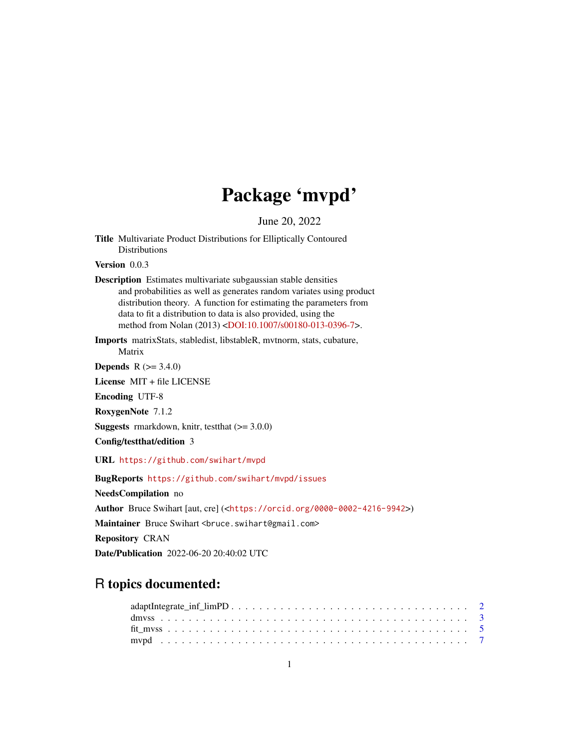## Package 'mvpd'

June 20, 2022

Title Multivariate Product Distributions for Elliptically Contoured Distributions

Version 0.0.3

Description Estimates multivariate subgaussian stable densities and probabilities as well as generates random variates using product distribution theory. A function for estimating the parameters from data to fit a distribution to data is also provided, using the method from Nolan (2013) [<DOI:10.1007/s00180-013-0396-7>](https://doi.org/10.1007/s00180-013-0396-7).

Imports matrixStats, stabledist, libstableR, mvtnorm, stats, cubature, Matrix

**Depends**  $R (= 3.4.0)$ 

License MIT + file LICENSE

Encoding UTF-8

RoxygenNote 7.1.2

**Suggests** rmarkdown, knitr, test that  $(>= 3.0.0)$ 

Config/testthat/edition 3

URL <https://github.com/swihart/mvpd>

BugReports <https://github.com/swihart/mvpd/issues>

NeedsCompilation no

Author Bruce Swihart [aut, cre] (<<https://orcid.org/0000-0002-4216-9942>>)

Maintainer Bruce Swihart <br/>bruce.swihart@gmail.com>

Repository CRAN

Date/Publication 2022-06-20 20:40:02 UTC

### R topics documented: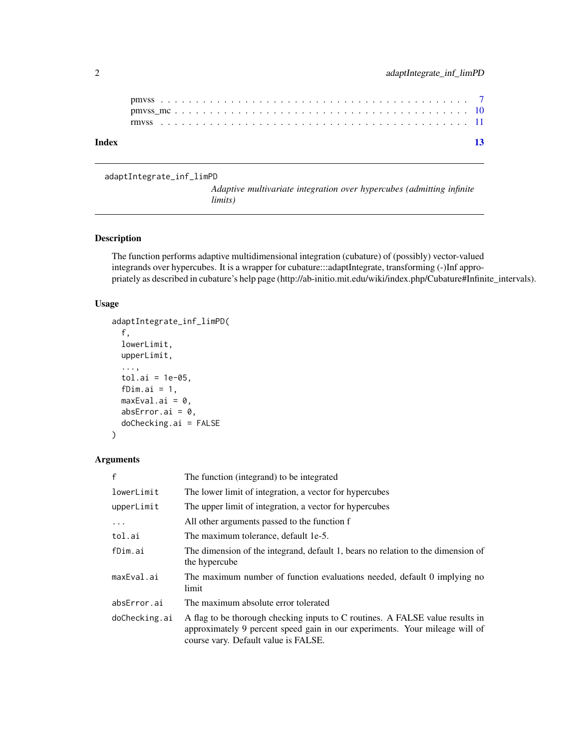| Index |  |  |  |  |  |  |  |  |  |  |  |  |  |  |  |  |  |  |  |  | $-13$ |
|-------|--|--|--|--|--|--|--|--|--|--|--|--|--|--|--|--|--|--|--|--|-------|
|       |  |  |  |  |  |  |  |  |  |  |  |  |  |  |  |  |  |  |  |  |       |

adaptIntegrate\_inf\_limPD

*Adaptive multivariate integration over hypercubes (admitting infinite limits)*

#### Description

The function performs adaptive multidimensional integration (cubature) of (possibly) vector-valued integrands over hypercubes. It is a wrapper for cubature:::adaptIntegrate, transforming (-)Inf appropriately as described in cubature's help page (http://ab-initio.mit.edu/wiki/index.php/Cubature#Infinite\_intervals).

#### Usage

```
adaptIntegrate_inf_limPD(
  f,
 lowerLimit,
 upperLimit,
  ...,
  tol.ai = 1e-05,fDim.ai = 1,
 maxEval.ai = 0,
 absError.ai = 0,
  doChecking.ai = FALSE
)
```

```
Arguments
```

| $\mathsf{f}$  | The function (integrand) to be integrated                                                                                                                                                            |
|---------------|------------------------------------------------------------------------------------------------------------------------------------------------------------------------------------------------------|
| lowerLimit    | The lower limit of integration, a vector for hypercubes                                                                                                                                              |
| upperLimit    | The upper limit of integration, a vector for hypercubes                                                                                                                                              |
| .             | All other arguments passed to the function f                                                                                                                                                         |
| tol.ai        | The maximum tolerance, default 1e-5.                                                                                                                                                                 |
| fDim.ai       | The dimension of the integrand, default 1, bears no relation to the dimension of<br>the hypercube                                                                                                    |
| maxEval.ai    | The maximum number of function evaluations needed, default 0 implying no<br>limit                                                                                                                    |
| absError.ai   | The maximum absolute error tolerated                                                                                                                                                                 |
| doChecking.ai | A flag to be thorough checking inputs to C routines. A FALSE value results in<br>approximately 9 percent speed gain in our experiments. Your mileage will of<br>course vary. Default value is FALSE. |

<span id="page-1-0"></span>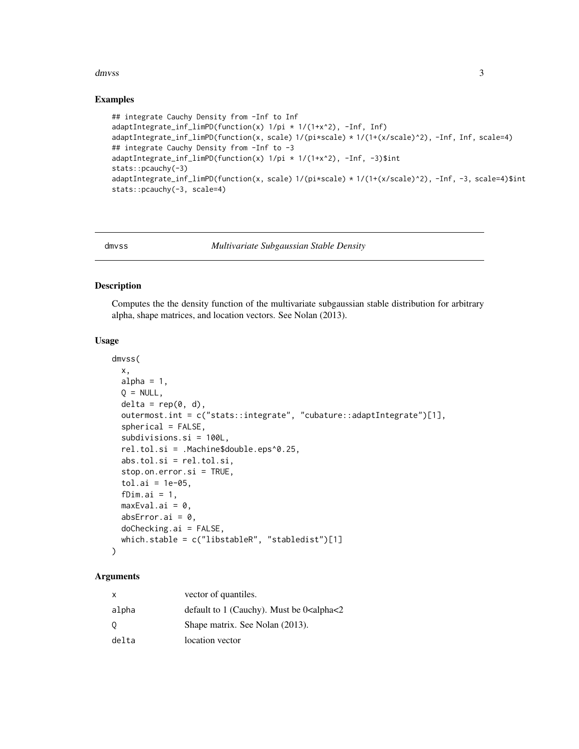#### <span id="page-2-0"></span>dmvss 3

#### Examples

```
## integrate Cauchy Density from -Inf to Inf
adaptIntegrate_inf_limPD(function(x) 1/pi * 1/(1+x^2), -Inf, Inf)
adaptIntegrate_inf_limPD(function(x, scale) 1/(pi*scale) * 1/(1+(x/scale)^2), -Inf, Inf, scale=4)
## integrate Cauchy Density from -Inf to -3
adaptIntegrate_inf_limPD(function(x) 1/pi * 1/(1+x^2), -Inf, -3)$int
stats::pcauchy(-3)
adaptIntegrate_inf_limPD(function(x, scale) 1/(pi*scale) * 1/(1+(x/scale)^2), -Inf, -3, scale=4)$int
stats::pcauchy(-3, scale=4)
```
<span id="page-2-1"></span>

dmvss *Multivariate Subgaussian Stable Density*

#### Description

Computes the the density function of the multivariate subgaussian stable distribution for arbitrary alpha, shape matrices, and location vectors. See Nolan (2013).

#### Usage

```
dmvss(
 x,
 alpha = 1,
 Q = NULL,delta = rep(0, d),outermost.int = c("stats::integrate", "cubature::adaptIntegrate")[1],
  spherical = FALSE,
  subdivisions.si = 100L,
  rel.tol.si = .Machine$double.eps^0.25,
  abs.tol.si = rel.tol.si,
  stop.on.error.si = TRUE,
  tol.ai = 1e-05,fDim.ai = 1,
 maxEval.ai = 0,
  absError.ai = 0,
  doChecking.ai = FALSE,
  which.stable = c("libstableR", "stabledist")[1]
\mathcal{L}
```
#### Arguments

| x     | vector of quantiles.                                           |
|-------|----------------------------------------------------------------|
| alpha | default to 1 (Cauchy). Must be $0$ <alpha<2< td=""></alpha<2<> |
| 0     | Shape matrix. See Nolan (2013).                                |
| delta | location vector                                                |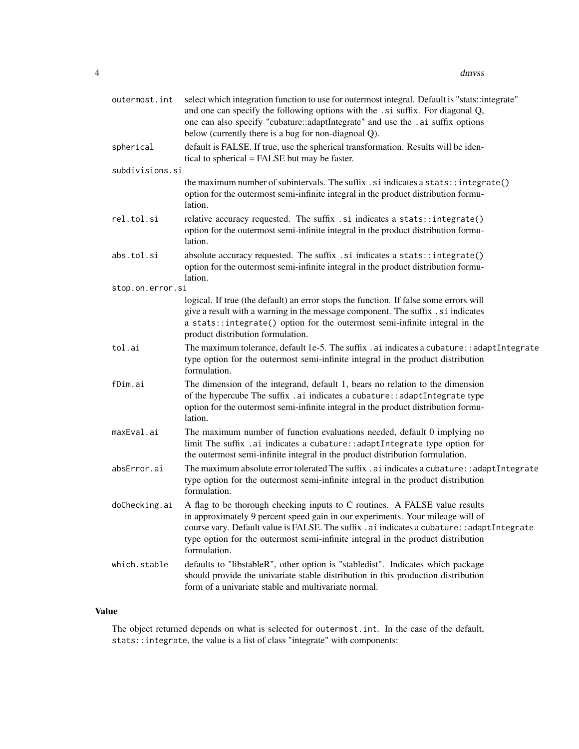| outermost.int    | select which integration function to use for outermost integral. Default is "stats::integrate"<br>and one can specify the following options with the .si suffix. For diagonal Q,<br>one can also specify "cubature::adaptIntegrate" and use the .ai suffix options<br>below (currently there is a bug for non-diagnoal Q).                                      |
|------------------|-----------------------------------------------------------------------------------------------------------------------------------------------------------------------------------------------------------------------------------------------------------------------------------------------------------------------------------------------------------------|
| spherical        | default is FALSE. If true, use the spherical transformation. Results will be iden-<br>tical to spherical = FALSE but may be faster.                                                                                                                                                                                                                             |
| subdivisions.si  |                                                                                                                                                                                                                                                                                                                                                                 |
|                  | the maximum number of subintervals. The suffix . si indicates a stats::integrate()<br>option for the outermost semi-infinite integral in the product distribution formu-<br>lation.                                                                                                                                                                             |
| rel.tol.si       | relative accuracy requested. The suffix .si indicates a stats::integrate()<br>option for the outermost semi-infinite integral in the product distribution formu-<br>lation.                                                                                                                                                                                     |
| abs.tol.si       | absolute accuracy requested. The suffix .si indicates a stats::integrate()<br>option for the outermost semi-infinite integral in the product distribution formu-<br>lation.                                                                                                                                                                                     |
| stop.on.error.si |                                                                                                                                                                                                                                                                                                                                                                 |
|                  | logical. If true (the default) an error stops the function. If false some errors will<br>give a result with a warning in the message component. The suffix . si indicates<br>a stats::integrate() option for the outermost semi-infinite integral in the<br>product distribution formulation.                                                                   |
| tol.ai           | The maximum tolerance, default 1e-5. The suffix . ai indicates a cubature: : adaptIntegrate<br>type option for the outermost semi-infinite integral in the product distribution<br>formulation.                                                                                                                                                                 |
| fDim.ai          | The dimension of the integrand, default 1, bears no relation to the dimension<br>of the hypercube The suffix .ai indicates a cubature: : adaptIntegrate type<br>option for the outermost semi-infinite integral in the product distribution formu-<br>lation.                                                                                                   |
| maxEval.ai       | The maximum number of function evaluations needed, default 0 implying no<br>limit The suffix .ai indicates a cubature: : adaptIntegrate type option for<br>the outermost semi-infinite integral in the product distribution formulation.                                                                                                                        |
| absError.ai      | The maximum absolute error tolerated The suffix. ai indicates a cubature: : adapt Integrate<br>type option for the outermost semi-infinite integral in the product distribution<br>formulation.                                                                                                                                                                 |
| doChecking.ai    | A flag to be thorough checking inputs to C routines. A FALSE value results<br>in approximately 9 percent speed gain in our experiments. Your mileage will of<br>course vary. Default value is FALSE. The suffix . ai indicates a cubature:: adapt Integrate<br>type option for the outermost semi-infinite integral in the product distribution<br>formulation. |
| which.stable     | defaults to "libstableR", other option is "stabledist". Indicates which package<br>should provide the univariate stable distribution in this production distribution<br>form of a univariate stable and multivariate normal.                                                                                                                                    |

#### Value

The object returned depends on what is selected for outermost.int. In the case of the default, stats::integrate, the value is a list of class "integrate" with components: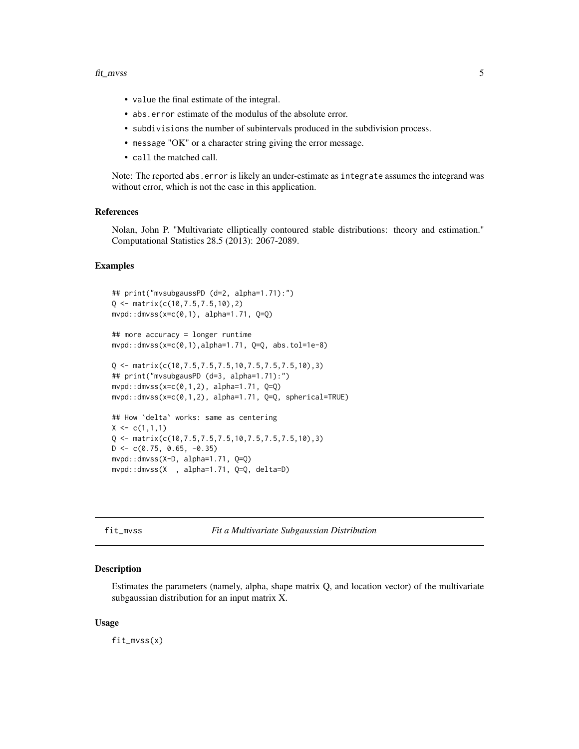- <span id="page-4-0"></span>• value the final estimate of the integral.
- abs.error estimate of the modulus of the absolute error.
- subdivisions the number of subintervals produced in the subdivision process.
- message "OK" or a character string giving the error message.
- call the matched call.

Note: The reported abs.error is likely an under-estimate as integrate assumes the integrand was without error, which is not the case in this application.

#### References

Nolan, John P. "Multivariate elliptically contoured stable distributions: theory and estimation." Computational Statistics 28.5 (2013): 2067-2089.

#### Examples

```
## print("mvsubgaussPD (d=2, alpha=1.71):")
Q <- matrix(c(10,7.5,7.5,10),2)
mypd::dmvss(x=c(0,1), alpha=1.71, Q=Q)## more accuracy = longer runtime
mypd: :dmvss(x=c(0,1),alpha=1.71, Q=Q, abs.tol=1e-8)Q \leq - matrix(c(10,7.5,7.5,7.5,10,7.5,7.5,7.5,10),3)
## print("mvsubgausPD (d=3, alpha=1.71):")
mypd::dmvss(x=c(0,1,2), alpha=1.71, Q=Q)mvpd::dmvss(x=c(0,1,2), alpha=1.71, Q=Q, spherical=TRUE)
## How `delta` works: same as centering
X \leftarrow c(1,1,1)Q \leq - matrix(c(10,7.5,7.5,7.5,10,7.5,7.5,7.5,10),3)
D \leq -c(0.75, 0.65, -0.35)mvpd::dmvss(X-D, alpha=1.71, Q=Q)
mvpd::dmvss(X , alpha=1.71, Q=Q, delta=D)
```
<span id="page-4-1"></span>fit\_mvss *Fit a Multivariate Subgaussian Distribution*

#### **Description**

Estimates the parameters (namely, alpha, shape matrix Q, and location vector) of the multivariate subgaussian distribution for an input matrix X.

#### Usage

fit\_mvss(x)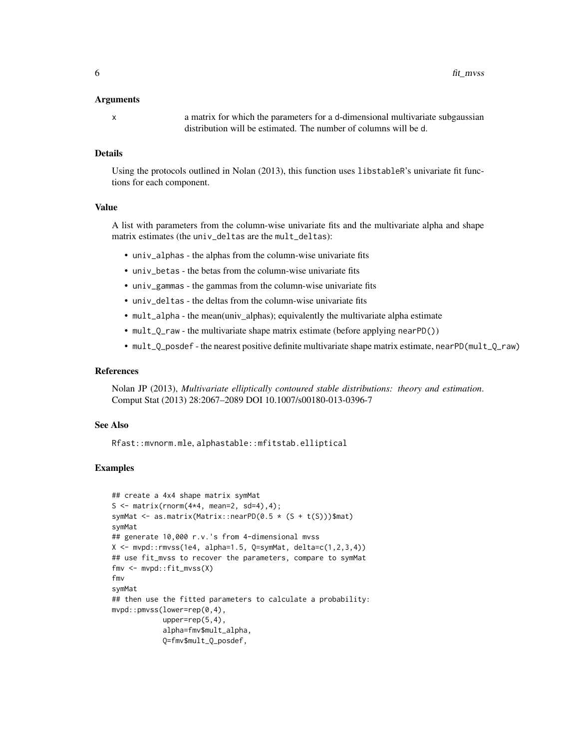#### Arguments

x a matrix for which the parameters for a d-dimensional multivariate subgaussian distribution will be estimated. The number of columns will be d.

#### Details

Using the protocols outlined in Nolan (2013), this function uses libstableR's univariate fit functions for each component.

#### Value

A list with parameters from the column-wise univariate fits and the multivariate alpha and shape matrix estimates (the univ\_deltas are the mult\_deltas):

- univ\_alphas the alphas from the column-wise univariate fits
- univ\_betas the betas from the column-wise univariate fits
- univ\_gammas the gammas from the column-wise univariate fits
- univ\_deltas the deltas from the column-wise univariate fits
- mult\_alpha the mean(univ\_alphas); equivalently the multivariate alpha estimate
- mult\_Q\_raw the multivariate shape matrix estimate (before applying nearPD())
- mult\_Q\_posdef the nearest positive definite multivariate shape matrix estimate, nearPD(mult\_Q\_raw)

#### References

Nolan JP (2013), *Multivariate elliptically contoured stable distributions: theory and estimation*. Comput Stat (2013) 28:2067–2089 DOI 10.1007/s00180-013-0396-7

#### See Also

Rfast::mvnorm.mle, alphastable::mfitstab.elliptical

#### Examples

```
## create a 4x4 shape matrix symMat
S \leq matrix(rnorm(4*4, mean=2, sd=4),4);
symMat \leq as.matrix(Matrix::nearPD(0.5 \star (S + t(S)))$mat)
symMat
## generate 10,000 r.v.'s from 4-dimensional mvss
X \leftarrow mvpd::rmvss(1e4, alpha=1.5, Q=symMat, delta=c(1,2,3,4))## use fit_mvss to recover the parameters, compare to symMat
fmv <- mvpd::fit_mvss(X)
fmv
symMat
## then use the fitted parameters to calculate a probability:
mvpd::pmvss(lower=rep(0,4),
            upper=rep(5,4),
            alpha=fmv$mult_alpha,
            Q=fmv$mult_Q_posdef,
```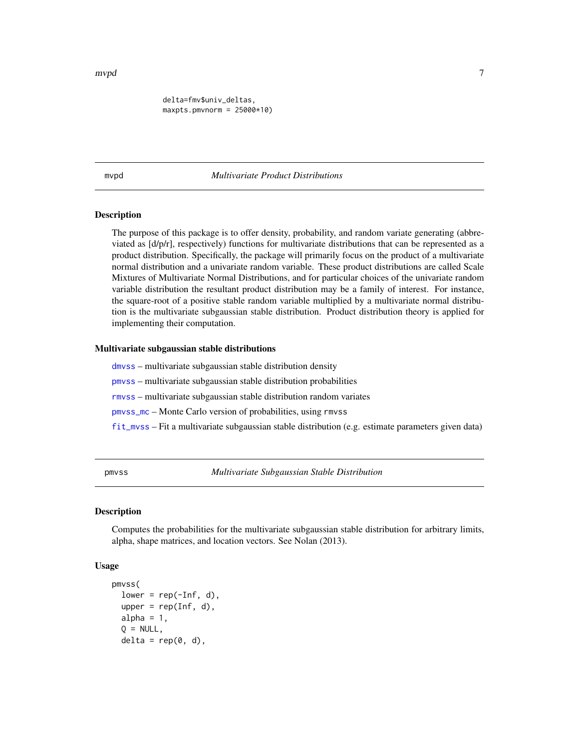<span id="page-6-0"></span>delta=fmv\$univ\_deltas,  $maxpts.pmvnorm = 25000*10$ 

mvpd *Multivariate Product Distributions*

#### **Description**

The purpose of this package is to offer density, probability, and random variate generating (abbreviated as [d/p/r], respectively) functions for multivariate distributions that can be represented as a product distribution. Specifically, the package will primarily focus on the product of a multivariate normal distribution and a univariate random variable. These product distributions are called Scale Mixtures of Multivariate Normal Distributions, and for particular choices of the univariate random variable distribution the resultant product distribution may be a family of interest. For instance, the square-root of a positive stable random variable multiplied by a multivariate normal distribution is the multivariate subgaussian stable distribution. Product distribution theory is applied for implementing their computation.

#### Multivariate subgaussian stable distributions

[dmvss](#page-2-1) – multivariate subgaussian stable distribution density

[pmvss](#page-6-1) – multivariate subgaussian stable distribution probabilities

[rmvss](#page-10-1) – multivariate subgaussian stable distribution random variates

[pmvss\\_mc](#page-9-1) – Monte Carlo version of probabilities, using rmvss

[fit\\_mvss](#page-4-1) – Fit a multivariate subgaussian stable distribution (e.g. estimate parameters given data)

<span id="page-6-1"></span>pmvss *Multivariate Subgaussian Stable Distribution*

#### **Description**

Computes the probabilities for the multivariate subgaussian stable distribution for arbitrary limits, alpha, shape matrices, and location vectors. See Nolan (2013).

#### Usage

```
pmvss(
  lower = rep(-Inf, d),upper = rep(Inf, d),
  alpha = 1,
  Q = NULL,delta = rep(0, d),
```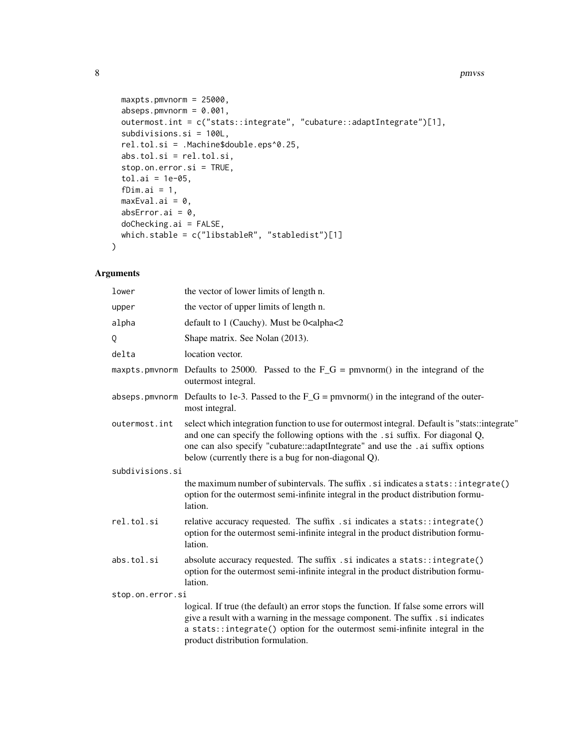#### 8 pmvss states and the set of the set of the set of the set of the set of the set of the set of the set of the set of the set of the set of the set of the set of the set of the set of the set of the set of the set of the s

```
maxpts.pmvnorm = 25000,
 abseps.pmvnorm = 0.001,
 outermost.int = c("stats::integrate", "cubature::adaptIntegrate")[1],
  subdivisions.si = 100L,
  rel.tol.si = .Machine$double.eps^0.25,
 abs.tol.si = rel.tol.si,
 stop.on.error.si = TRUE,
  tol.ai = 1e-05,fDim.ai = 1,
 maxEval.ai = 0,absError.ai = 0,
 doChecking.ai = FALSE,
 which.stable = c("libstableR", "stabledist")[1]
\mathcal{L}
```
#### Arguments

| lower            | the vector of lower limits of length n.                                                                                                                                                                                                                                                                                    |
|------------------|----------------------------------------------------------------------------------------------------------------------------------------------------------------------------------------------------------------------------------------------------------------------------------------------------------------------------|
| upper            | the vector of upper limits of length n.                                                                                                                                                                                                                                                                                    |
| alpha            | default to 1 (Cauchy). Must be 0 <alpha<2< td=""></alpha<2<>                                                                                                                                                                                                                                                               |
| Q                | Shape matrix. See Nolan (2013).                                                                                                                                                                                                                                                                                            |
| delta            | location vector.                                                                                                                                                                                                                                                                                                           |
|                  | maxpts pmvnorm Defaults to 25000. Passed to the $F_G =$ pmvnorm() in the integrand of the<br>outermost integral.                                                                                                                                                                                                           |
|                  | abseps pmvnorm Defaults to 1e-3. Passed to the $F_G =$ pmvnorm() in the integrand of the outer-<br>most integral.                                                                                                                                                                                                          |
| outermost.int    | select which integration function to use for outermost integral. Default is "stats::integrate"<br>and one can specify the following options with the .si suffix. For diagonal Q,<br>one can also specify "cubature::adaptIntegrate" and use the .ai suffix options<br>below (currently there is a bug for non-diagonal Q). |
| subdivisions.si  |                                                                                                                                                                                                                                                                                                                            |
|                  | the maximum number of subintervals. The suffix $\ldots$ is indicates a stats::integrate()<br>option for the outermost semi-infinite integral in the product distribution formu-<br>lation.                                                                                                                                 |
| rel.tol.si       | relative accuracy requested. The suffix .si indicates a stats::integrate()<br>option for the outermost semi-infinite integral in the product distribution formu-<br>lation.                                                                                                                                                |
| abs.tol.si       | absolute accuracy requested. The suffix .si indicates a stats::integrate()<br>option for the outermost semi-infinite integral in the product distribution formu-<br>lation.                                                                                                                                                |
| stop.on.error.si |                                                                                                                                                                                                                                                                                                                            |
|                  | logical. If true (the default) an error stops the function. If false some errors will<br>give a result with a warning in the message component. The suffix . si indicates<br>a stats::integrate() option for the outermost semi-infinite integral in the<br>product distribution formulation.                              |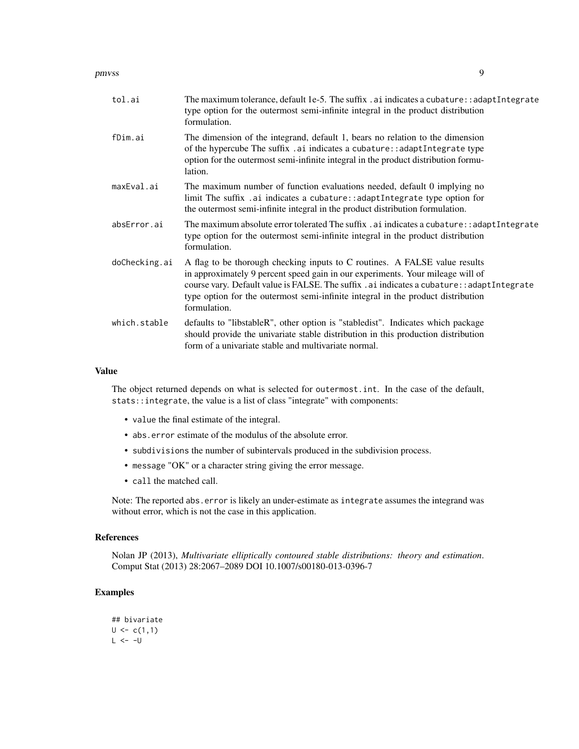pmvss 9 and 2008 and 2008 and 2008 and 2008 and 2008 and 2008 and 2008 and 2008 and 2008 and 2008 and 2008 and 2008 and 2008 and 2008 and 2008 and 2008 and 2008 and 2008 and 2008 and 2008 and 2008 and 2008 and 2008 and 200

| tol.ai        | The maximum tolerance, default 1e-5. The suffix $\alpha$ ai indicates a cubature: $\alpha$ and $\beta$ and $\beta$ and $\alpha$<br>type option for the outermost semi-infinite integral in the product distribution<br>formulation.                                                                                                                              |
|---------------|------------------------------------------------------------------------------------------------------------------------------------------------------------------------------------------------------------------------------------------------------------------------------------------------------------------------------------------------------------------|
| fDim.ai       | The dimension of the integrand, default 1, bears no relation to the dimension<br>of the hypercube The suffix .ai indicates a cubature:: adaptIntegrate type<br>option for the outermost semi-infinite integral in the product distribution formu-<br>lation.                                                                                                     |
| maxEval.ai    | The maximum number of function evaluations needed, default 0 implying no<br>limit The suffix .ai indicates a cubature:: adaptIntegrate type option for<br>the outermost semi-infinite integral in the product distribution formulation.                                                                                                                          |
| absError.ai   | The maximum absolute error tolerated The suffix . ai indicates a cubature: : adapt Integrate<br>type option for the outermost semi-infinite integral in the product distribution<br>formulation.                                                                                                                                                                 |
| doChecking.ai | A flag to be thorough checking inputs to C routines. A FALSE value results<br>in approximately 9 percent speed gain in our experiments. Your mileage will of<br>course vary. Default value is FALSE. The suffix . ai indicates a cubature: : adapt Integrate<br>type option for the outermost semi-infinite integral in the product distribution<br>formulation. |
| which.stable  | defaults to "libstableR", other option is "stabledist". Indicates which package<br>should provide the univariate stable distribution in this production distribution<br>form of a univariate stable and multivariate normal.                                                                                                                                     |

#### Value

The object returned depends on what is selected for outermost.int. In the case of the default, stats::integrate, the value is a list of class "integrate" with components:

- value the final estimate of the integral.
- abs.error estimate of the modulus of the absolute error.
- subdivisions the number of subintervals produced in the subdivision process.
- message "OK" or a character string giving the error message.
- call the matched call.

Note: The reported abs.error is likely an under-estimate as integrate assumes the integrand was without error, which is not the case in this application.

#### References

Nolan JP (2013), *Multivariate elliptically contoured stable distributions: theory and estimation*. Comput Stat (2013) 28:2067–2089 DOI 10.1007/s00180-013-0396-7

#### Examples

```
## bivariate
U \leq c(1,1)L < -1
```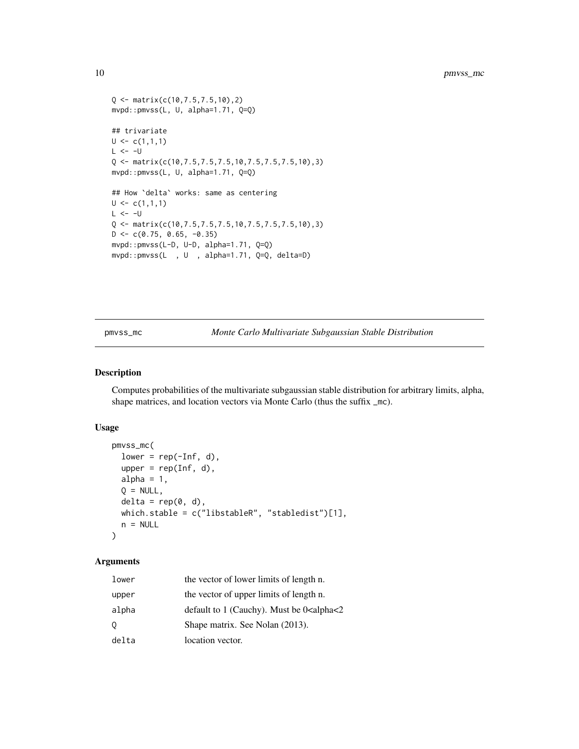```
Q \leq - matrix(c(10,7.5,7.5,10),2)
mvpd::pmvss(L, U, alpha=1.71, Q=Q)
## trivariate
U \leftarrow c(1,1,1)L < - -UQ <- matrix(c(10,7.5,7.5,7.5,10,7.5,7.5,7.5,10),3)
mvpd::pmvss(L, U, alpha=1.71, Q=Q)
## How `delta` works: same as centering
U \leftarrow c(1,1,1)L < -1Q \leq - matrix(c(10,7.5,7.5,7.5,10,7.5,7.5,7.5,10),3)
D \leq -c(0.75, 0.65, -0.35)mvpd::pmvss(L-D, U-D, alpha=1.71, Q=Q)
mvpd::pmvss(L , U , alpha=1.71, Q=Q, delta=D)
```
<span id="page-9-1"></span>pmvss\_mc *Monte Carlo Multivariate Subgaussian Stable Distribution*

#### Description

Computes probabilities of the multivariate subgaussian stable distribution for arbitrary limits, alpha, shape matrices, and location vectors via Monte Carlo (thus the suffix  $\text{\_mc}$ ).

#### Usage

```
pmvss_mc(
 lower = rep(-Inf, d),upper = rep(Inf, d),alpha = 1,
 Q = NULL,delta = rep(0, d),which.stable = c("libstableR", "stabledist")[1],
 n = NULL)
```
#### Arguments

| lower | the vector of lower limits of length n.                        |
|-------|----------------------------------------------------------------|
| upper | the vector of upper limits of length n.                        |
| alpha | default to 1 (Cauchy). Must be $0$ <alpha<2< td=""></alpha<2<> |
| Q.    | Shape matrix. See Nolan (2013).                                |
| delta | location vector.                                               |

<span id="page-9-0"></span>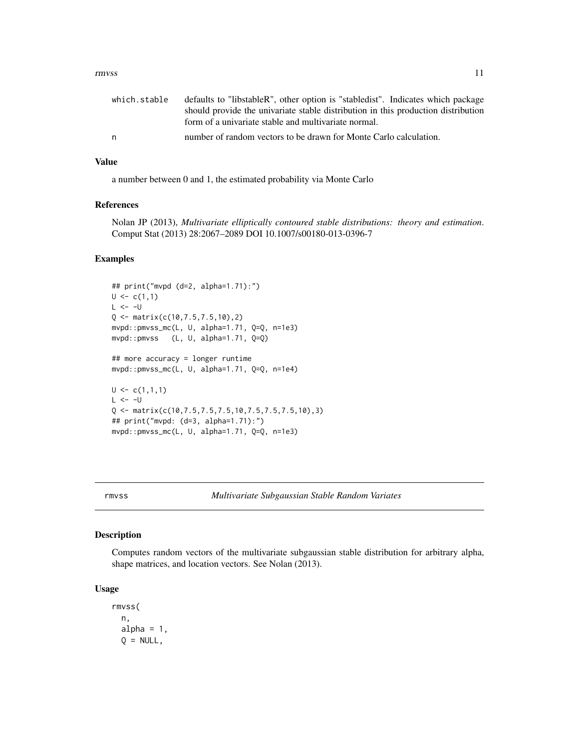#### <span id="page-10-0"></span>rmvss and the contract of the contract of the contract of the contract of the contract of the contract of the contract of the contract of the contract of the contract of the contract of the contract of the contract of the

| which.stable | defaults to "libstableR", other option is "stabledist". Indicates which package   |
|--------------|-----------------------------------------------------------------------------------|
|              | should provide the univariate stable distribution in this production distribution |
|              | form of a univariate stable and multivariate normal.                              |
| n            | number of random vectors to be drawn for Monte Carlo calculation.                 |

#### Value

a number between 0 and 1, the estimated probability via Monte Carlo

#### References

Nolan JP (2013), *Multivariate elliptically contoured stable distributions: theory and estimation*. Comput Stat (2013) 28:2067–2089 DOI 10.1007/s00180-013-0396-7

#### Examples

```
## print("mvpd (d=2, alpha=1.71):")
U \leftarrow c(1,1)L < - -UQ <- matrix(c(10,7.5,7.5,10),2)
mvpd::pmvss_mc(L, U, alpha=1.71, Q=Q, n=1e3)
mvpd::pmvss (L, U, alpha=1.71, Q=Q)
## more accuracy = longer runtime
mvpd::pmvss_mc(L, U, alpha=1.71, Q=Q, n=1e4)
U \leftarrow c(1,1,1)L < - -U
Q <- matrix(c(10,7.5,7.5,7.5,10,7.5,7.5,7.5,10),3)
## print("mvpd: (d=3, alpha=1.71):")
mvpd::pmvss_mc(L, U, alpha=1.71, Q=Q, n=1e3)
```
<span id="page-10-1"></span>

#### Description

Computes random vectors of the multivariate subgaussian stable distribution for arbitrary alpha, shape matrices, and location vectors. See Nolan (2013).

#### Usage

rmvss( n, alpha =  $1$ ,  $Q = NULL,$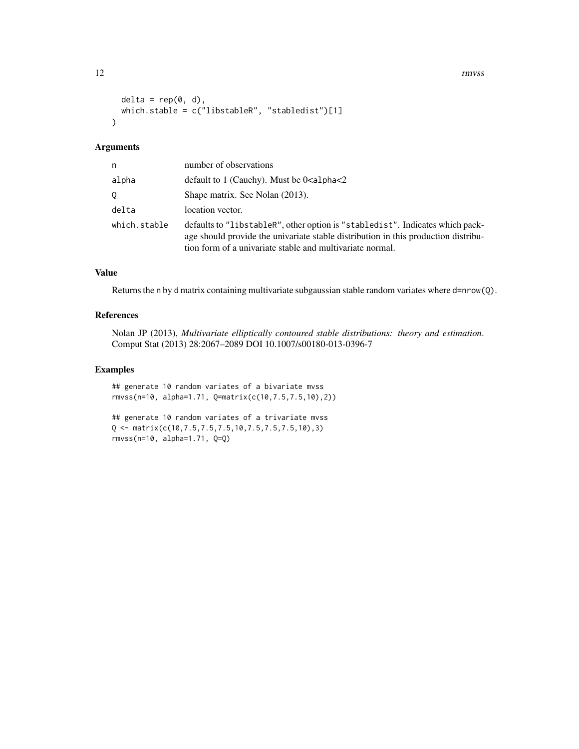12 rmvss

```
delta = rep(0, d),which.stable = c("libstableR", "stabledist")[1]
\lambda
```
#### Arguments

| n            | number of observations                                                                                                                                                                                                           |
|--------------|----------------------------------------------------------------------------------------------------------------------------------------------------------------------------------------------------------------------------------|
| alpha        | default to 1 (Cauchy). Must be $0$ alpha $\leq$ 2                                                                                                                                                                                |
| 0            | Shape matrix. See Nolan (2013).                                                                                                                                                                                                  |
| delta        | location vector.                                                                                                                                                                                                                 |
| which.stable | defaults to "libstableR", other option is "stabledist". Indicates which pack-<br>age should provide the univariate stable distribution in this production distribu-<br>tion form of a univariate stable and multivariate normal. |

#### Value

Returns the n by d matrix containing multivariate subgaussian stable random variates where d=nrow(Q).

#### References

Nolan JP (2013), *Multivariate elliptically contoured stable distributions: theory and estimation*. Comput Stat (2013) 28:2067–2089 DOI 10.1007/s00180-013-0396-7

#### Examples

## generate 10 random variates of a bivariate mvss rmvss(n=10, alpha=1.71, Q=matrix(c(10,7.5,7.5,10),2))

```
## generate 10 random variates of a trivariate mvss
Q <- matrix(c(10,7.5,7.5,7.5,10,7.5,7.5,7.5,10),3)
rmvss(n=10, alpha=1.71, Q=Q)
```